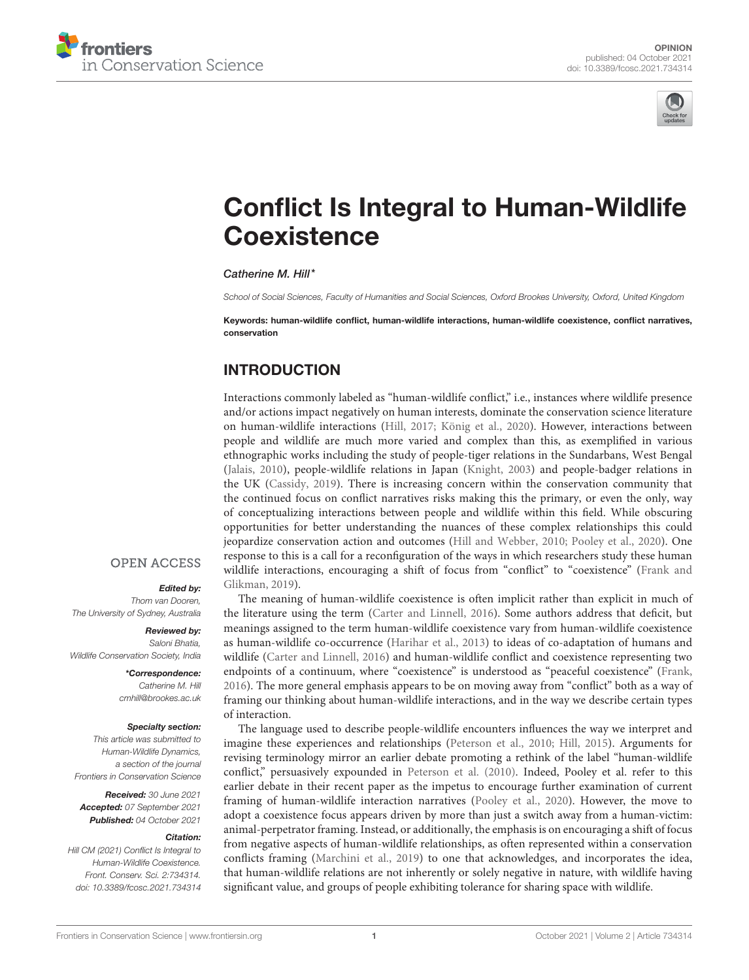



# [Conflict Is Integral to Human-Wildlife](https://www.frontiersin.org/articles/10.3389/fcosc.2021.734314/full) **Coexistence**

Catherine M. Hill\*

*School of Social Sciences, Faculty of Humanities and Social Sciences, Oxford Brookes University, Oxford, United Kingdom*

Keywords: human-wildlife conflict, human-wildlife interactions, human-wildlife coexistence, conflict narratives, conservation

# INTRODUCTION

Interactions commonly labeled as "human-wildlife conflict," i.e., instances where wildlife presence and/or actions impact negatively on human interests, dominate the conservation science literature on human-wildlife interactions [\(Hill, 2017;](#page-3-0) [König et al., 2020\)](#page-3-1). However, interactions between people and wildlife are much more varied and complex than this, as exemplified in various ethnographic works including the study of people-tiger relations in the Sundarbans, West Bengal [\(Jalais, 2010\)](#page-3-2), people-wildlife relations in Japan [\(Knight, 2003\)](#page-3-3) and people-badger relations in the UK [\(Cassidy, 2019\)](#page-2-0). There is increasing concern within the conservation community that the continued focus on conflict narratives risks making this the primary, or even the only, way of conceptualizing interactions between people and wildlife within this field. While obscuring opportunities for better understanding the nuances of these complex relationships this could jeopardize conservation action and outcomes [\(Hill and Webber, 2010;](#page-3-4) [Pooley et al., 2020\)](#page-3-5). One response to this is a call for a reconfiguration of the ways in which researchers study these human wildlife interactions, encouraging a shift of focus from "conflict" to "coexistence" (Frank and Glikman, [2019\)](#page-3-6).

### **OPEN ACCESS**

#### Edited by:

*Thom van Dooren, The University of Sydney, Australia*

#### Reviewed by:

*Saloni Bhatia, Wildlife Conservation Society, India*

> \*Correspondence: *Catherine M. Hill [cmhill@brookes.ac.uk](mailto:cmhill@brookes.ac.uk)*

#### Specialty section:

*This article was submitted to Human-Wildlife Dynamics, a section of the journal Frontiers in Conservation Science*

Received: *30 June 2021* Accepted: *07 September 2021* Published: *04 October 2021*

#### Citation:

*Hill CM (2021) Conflict Is Integral to Human-Wildlife Coexistence. Front. Conserv. Sci. 2:734314. doi: [10.3389/fcosc.2021.734314](https://doi.org/10.3389/fcosc.2021.734314)*

The meaning of human-wildlife coexistence is often implicit rather than explicit in much of the literature using the term [\(Carter and Linnell, 2016\)](#page-2-1). Some authors address that deficit, but meanings assigned to the term human-wildlife coexistence vary from human-wildlife coexistence as human-wildlife co-occurrence [\(Harihar et al., 2013\)](#page-3-7) to ideas of co-adaptation of humans and wildlife [\(Carter and Linnell, 2016\)](#page-2-1) and human-wildlife conflict and coexistence representing two endpoints of a continuum, where "coexistence" is understood as "peaceful coexistence" [\(Frank,](#page-3-8) [2016\)](#page-3-8). The more general emphasis appears to be on moving away from "conflict" both as a way of framing our thinking about human-wildlife interactions, and in the way we describe certain types of interaction.

The language used to describe people-wildlife encounters influences the way we interpret and imagine these experiences and relationships [\(Peterson et al., 2010;](#page-3-9) [Hill, 2015\)](#page-3-10). Arguments for revising terminology mirror an earlier debate promoting a rethink of the label "human-wildlife conflict," persuasively expounded in [Peterson et al. \(2010\)](#page-3-9). Indeed, Pooley et al. refer to this earlier debate in their recent paper as the impetus to encourage further examination of current framing of human-wildlife interaction narratives [\(Pooley et al., 2020\)](#page-3-5). However, the move to adopt a coexistence focus appears driven by more than just a switch away from a human-victim: animal-perpetrator framing. Instead, or additionally, the emphasis is on encouraging a shift of focus from negative aspects of human-wildlife relationships, as often represented within a conservation conflicts framing [\(Marchini et al., 2019\)](#page-3-11) to one that acknowledges, and incorporates the idea, that human-wildlife relations are not inherently or solely negative in nature, with wildlife having significant value, and groups of people exhibiting tolerance for sharing space with wildlife.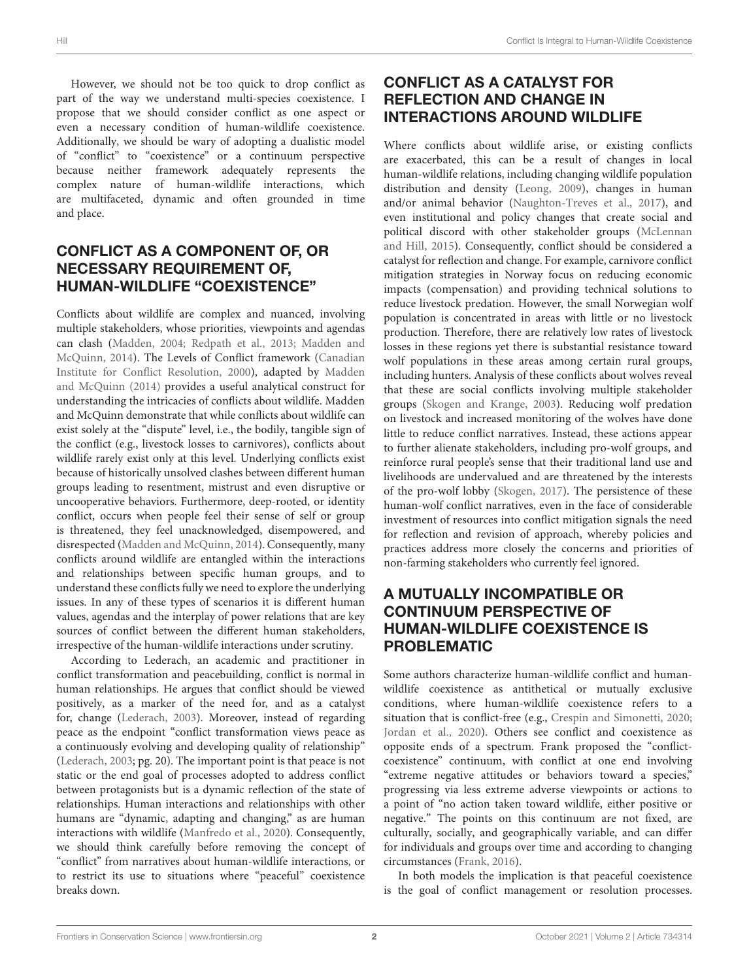However, we should not be too quick to drop conflict as part of the way we understand multi-species coexistence. I propose that we should consider conflict as one aspect or even a necessary condition of human-wildlife coexistence. Additionally, we should be wary of adopting a dualistic model of "conflict" to "coexistence" or a continuum perspective because neither framework adequately represents the complex nature of human-wildlife interactions, which are multifaceted, dynamic and often grounded in time and place.

# CONFLICT AS A COMPONENT OF, OR NECESSARY REQUIREMENT OF, HUMAN-WILDLIFE "COEXISTENCE"

Conflicts about wildlife are complex and nuanced, involving multiple stakeholders, whose priorities, viewpoints and agendas can clash [\(Madden, 2004;](#page-3-12) [Redpath et al., 2013;](#page-3-13) Madden and McQuinn, [2014\)](#page-3-14). The Levels of Conflict framework (Canadian Institute for Conflict Resolution, [2000\)](#page-2-2), adapted by Madden and McQuinn [\(2014\)](#page-3-14) provides a useful analytical construct for understanding the intricacies of conflicts about wildlife. Madden and McQuinn demonstrate that while conflicts about wildlife can exist solely at the "dispute" level, i.e., the bodily, tangible sign of the conflict (e.g., livestock losses to carnivores), conflicts about wildlife rarely exist only at this level. Underlying conflicts exist because of historically unsolved clashes between different human groups leading to resentment, mistrust and even disruptive or uncooperative behaviors. Furthermore, deep-rooted, or identity conflict, occurs when people feel their sense of self or group is threatened, they feel unacknowledged, disempowered, and disrespected [\(Madden and McQuinn, 2014\)](#page-3-14). Consequently, many conflicts around wildlife are entangled within the interactions and relationships between specific human groups, and to understand these conflicts fully we need to explore the underlying issues. In any of these types of scenarios it is different human values, agendas and the interplay of power relations that are key sources of conflict between the different human stakeholders, irrespective of the human-wildlife interactions under scrutiny.

According to Lederach, an academic and practitioner in conflict transformation and peacebuilding, conflict is normal in human relationships. He argues that conflict should be viewed positively, as a marker of the need for, and as a catalyst for, change [\(Lederach, 2003\)](#page-3-15). Moreover, instead of regarding peace as the endpoint "conflict transformation views peace as a continuously evolving and developing quality of relationship" [\(Lederach, 2003;](#page-3-15) pg. 20). The important point is that peace is not static or the end goal of processes adopted to address conflict between protagonists but is a dynamic reflection of the state of relationships. Human interactions and relationships with other humans are "dynamic, adapting and changing," as are human interactions with wildlife [\(Manfredo et al., 2020\)](#page-3-16). Consequently, we should think carefully before removing the concept of "conflict" from narratives about human-wildlife interactions, or to restrict its use to situations where "peaceful" coexistence breaks down.

# CONFLICT AS A CATALYST FOR REFLECTION AND CHANGE IN INTERACTIONS AROUND WILDLIFE

Where conflicts about wildlife arise, or existing conflicts are exacerbated, this can be a result of changes in local human-wildlife relations, including changing wildlife population distribution and density [\(Leong, 2009\)](#page-3-17), changes in human and/or animal behavior [\(Naughton-Treves et al., 2017\)](#page-3-18), and even institutional and policy changes that create social and political discord with other stakeholder groups (McLennan and Hill, [2015\)](#page-3-19). Consequently, conflict should be considered a catalyst for reflection and change. For example, carnivore conflict mitigation strategies in Norway focus on reducing economic impacts (compensation) and providing technical solutions to reduce livestock predation. However, the small Norwegian wolf population is concentrated in areas with little or no livestock production. Therefore, there are relatively low rates of livestock losses in these regions yet there is substantial resistance toward wolf populations in these areas among certain rural groups, including hunters. Analysis of these conflicts about wolves reveal that these are social conflicts involving multiple stakeholder groups [\(Skogen and Krange, 2003\)](#page-3-20). Reducing wolf predation on livestock and increased monitoring of the wolves have done little to reduce conflict narratives. Instead, these actions appear to further alienate stakeholders, including pro-wolf groups, and reinforce rural people's sense that their traditional land use and livelihoods are undervalued and are threatened by the interests of the pro-wolf lobby [\(Skogen, 2017\)](#page-3-21). The persistence of these human-wolf conflict narratives, even in the face of considerable investment of resources into conflict mitigation signals the need for reflection and revision of approach, whereby policies and practices address more closely the concerns and priorities of non-farming stakeholders who currently feel ignored.

## A MUTUALLY INCOMPATIBLE OR CONTINUUM PERSPECTIVE OF HUMAN-WILDLIFE COEXISTENCE IS PROBLEMATIC

Some authors characterize human-wildlife conflict and humanwildlife coexistence as antithetical or mutually exclusive conditions, where human-wildlife coexistence refers to a situation that is conflict-free (e.g., [Crespin and Simonetti, 2020;](#page-2-3) [Jordan et al., 2020\)](#page-3-22). Others see conflict and coexistence as opposite ends of a spectrum. Frank proposed the "conflictcoexistence" continuum, with conflict at one end involving "extreme negative attitudes or behaviors toward a species," progressing via less extreme adverse viewpoints or actions to a point of "no action taken toward wildlife, either positive or negative." The points on this continuum are not fixed, are culturally, socially, and geographically variable, and can differ for individuals and groups over time and according to changing circumstances [\(Frank, 2016\)](#page-3-8).

In both models the implication is that peaceful coexistence is the goal of conflict management or resolution processes.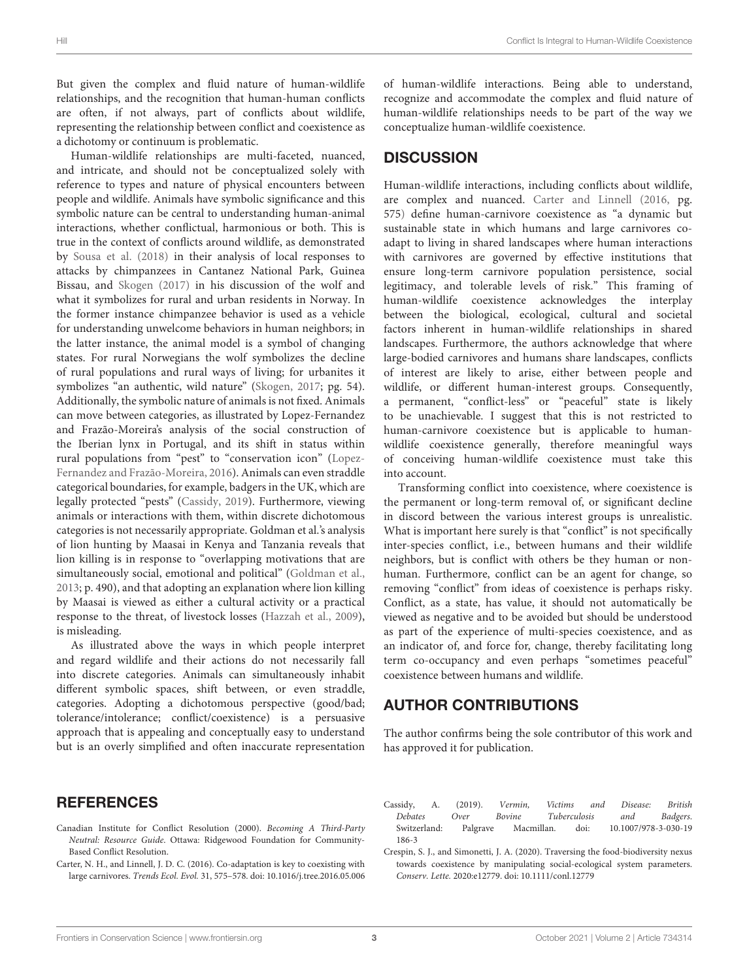But given the complex and fluid nature of human-wildlife relationships, and the recognition that human-human conflicts are often, if not always, part of conflicts about wildlife, representing the relationship between conflict and coexistence as a dichotomy or continuum is problematic.

Human-wildlife relationships are multi-faceted, nuanced, and intricate, and should not be conceptualized solely with reference to types and nature of physical encounters between people and wildlife. Animals have symbolic significance and this symbolic nature can be central to understanding human-animal interactions, whether conflictual, harmonious or both. This is true in the context of conflicts around wildlife, as demonstrated by [Sousa et al. \(2018\)](#page-3-23) in their analysis of local responses to attacks by chimpanzees in Cantanez National Park, Guinea Bissau, and [Skogen \(2017\)](#page-3-21) in his discussion of the wolf and what it symbolizes for rural and urban residents in Norway. In the former instance chimpanzee behavior is used as a vehicle for understanding unwelcome behaviors in human neighbors; in the latter instance, the animal model is a symbol of changing states. For rural Norwegians the wolf symbolizes the decline of rural populations and rural ways of living; for urbanites it symbolizes "an authentic, wild nature" [\(Skogen, 2017;](#page-3-21) pg. 54). Additionally, the symbolic nature of animals is not fixed. Animals can move between categories, as illustrated by Lopez-Fernandez and Frazão-Moreira's analysis of the social construction of the Iberian lynx in Portugal, and its shift in status within rural populations from "pest" to "conservation icon" (Lopez-Fernandez and Frazão-Moreira, [2016\)](#page-3-24). Animals can even straddle categorical boundaries, for example, badgers in the UK, which are legally protected "pests" [\(Cassidy, 2019\)](#page-2-0). Furthermore, viewing animals or interactions with them, within discrete dichotomous categories is not necessarily appropriate. Goldman et al.'s analysis of lion hunting by Maasai in Kenya and Tanzania reveals that lion killing is in response to "overlapping motivations that are simultaneously social, emotional and political" [\(Goldman et al.,](#page-3-25) [2013;](#page-3-25) p. 490), and that adopting an explanation where lion killing by Maasai is viewed as either a cultural activity or a practical response to the threat, of livestock losses [\(Hazzah et al., 2009\)](#page-3-26), is misleading.

As illustrated above the ways in which people interpret and regard wildlife and their actions do not necessarily fall into discrete categories. Animals can simultaneously inhabit different symbolic spaces, shift between, or even straddle, categories. Adopting a dichotomous perspective (good/bad; tolerance/intolerance; conflict/coexistence) is a persuasive approach that is appealing and conceptually easy to understand but is an overly simplified and often inaccurate representation of human-wildlife interactions. Being able to understand, recognize and accommodate the complex and fluid nature of human-wildlife relationships needs to be part of the way we conceptualize human-wildlife coexistence.

### **DISCUSSION**

Human-wildlife interactions, including conflicts about wildlife, are complex and nuanced. [Carter and Linnell \(2016,](#page-2-1) pg. 575) define human-carnivore coexistence as "a dynamic but sustainable state in which humans and large carnivores coadapt to living in shared landscapes where human interactions with carnivores are governed by effective institutions that ensure long-term carnivore population persistence, social legitimacy, and tolerable levels of risk." This framing of human-wildlife coexistence acknowledges the interplay between the biological, ecological, cultural and societal factors inherent in human-wildlife relationships in shared landscapes. Furthermore, the authors acknowledge that where large-bodied carnivores and humans share landscapes, conflicts of interest are likely to arise, either between people and wildlife, or different human-interest groups. Consequently, a permanent, "conflict-less" or "peaceful" state is likely to be unachievable. I suggest that this is not restricted to human-carnivore coexistence but is applicable to humanwildlife coexistence generally, therefore meaningful ways of conceiving human-wildlife coexistence must take this into account.

Transforming conflict into coexistence, where coexistence is the permanent or long-term removal of, or significant decline in discord between the various interest groups is unrealistic. What is important here surely is that "conflict" is not specifically inter-species conflict, i.e., between humans and their wildlife neighbors, but is conflict with others be they human or nonhuman. Furthermore, conflict can be an agent for change, so removing "conflict" from ideas of coexistence is perhaps risky. Conflict, as a state, has value, it should not automatically be viewed as negative and to be avoided but should be understood as part of the experience of multi-species coexistence, and as an indicator of, and force for, change, thereby facilitating long term co-occupancy and even perhaps "sometimes peaceful" coexistence between humans and wildlife.

### AUTHOR CONTRIBUTIONS

The author confirms being the sole contributor of this work and has approved it for publication.

### **REFERENCES**

- <span id="page-2-2"></span>Canadian Institute for Conflict Resolution (2000). Becoming A Third-Party Neutral: Resource Guide. Ottawa: Ridgewood Foundation for Community-Based Conflict Resolution.
- <span id="page-2-1"></span>Carter, N. H., and Linnell, J. D. C. (2016). Co-adaptation is key to coexisting with large carnivores. Trends Ecol. Evol. 31, 575–578. doi: [10.1016/j.tree.2016.05.006](https://doi.org/10.1016/j.tree.2016.05.006)
- <span id="page-2-0"></span>Cassidy, A. (2019). Vermin, Victims and Disease: British Debates Over Bovine Tuberculosis and Badgers. [Switzerland: Palgrave Macmillan. doi: 10.1007/978-3-030-19](https://doi.org/10.1007/978-3-030-19186-3) 186-3
- <span id="page-2-3"></span>Crespin, S. J., and Simonetti, J. A. (2020). Traversing the food-biodiversity nexus towards coexistence by manipulating social-ecological system parameters. Conserv. Lette. 2020:e12779. doi: [10.1111/conl.12779](https://doi.org/10.1111/conl.12779)